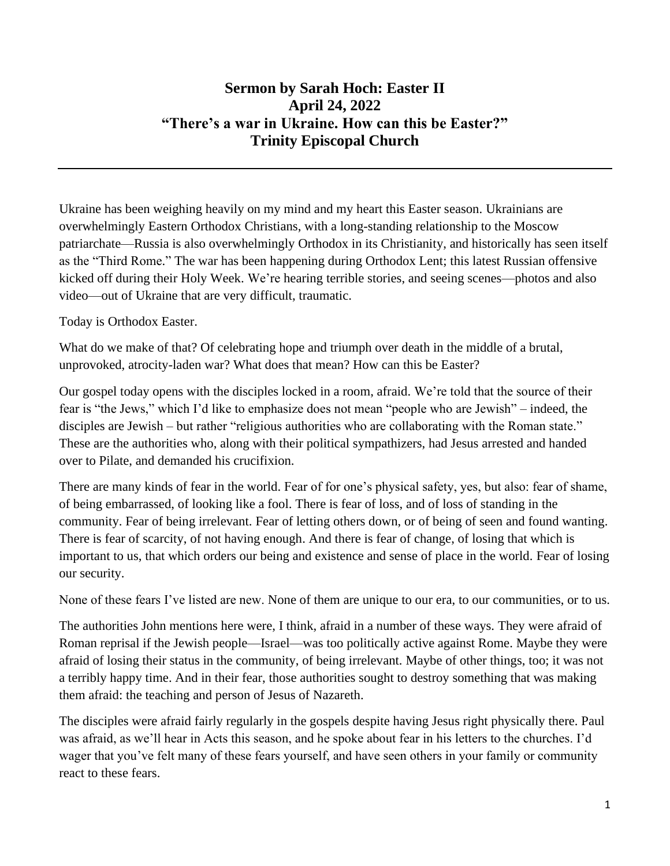## **Sermon by Sarah Hoch: Easter II April 24, 2022 "There's a war in Ukraine. How can this be Easter?" Trinity Episcopal Church**

Ukraine has been weighing heavily on my mind and my heart this Easter season. Ukrainians are overwhelmingly Eastern Orthodox Christians, with a long-standing relationship to the Moscow patriarchate—Russia is also overwhelmingly Orthodox in its Christianity, and historically has seen itself as the "Third Rome." The war has been happening during Orthodox Lent; this latest Russian offensive kicked off during their Holy Week. We're hearing terrible stories, and seeing scenes—photos and also video—out of Ukraine that are very difficult, traumatic.

Today is Orthodox Easter.

What do we make of that? Of celebrating hope and triumph over death in the middle of a brutal, unprovoked, atrocity-laden war? What does that mean? How can this be Easter?

Our gospel today opens with the disciples locked in a room, afraid. We're told that the source of their fear is "the Jews," which I'd like to emphasize does not mean "people who are Jewish" – indeed, the disciples are Jewish – but rather "religious authorities who are collaborating with the Roman state." These are the authorities who, along with their political sympathizers, had Jesus arrested and handed over to Pilate, and demanded his crucifixion.

There are many kinds of fear in the world. Fear of for one's physical safety, yes, but also: fear of shame, of being embarrassed, of looking like a fool. There is fear of loss, and of loss of standing in the community. Fear of being irrelevant. Fear of letting others down, or of being of seen and found wanting. There is fear of scarcity, of not having enough. And there is fear of change, of losing that which is important to us, that which orders our being and existence and sense of place in the world. Fear of losing our security.

None of these fears I've listed are new. None of them are unique to our era, to our communities, or to us.

The authorities John mentions here were, I think, afraid in a number of these ways. They were afraid of Roman reprisal if the Jewish people—Israel—was too politically active against Rome. Maybe they were afraid of losing their status in the community, of being irrelevant. Maybe of other things, too; it was not a terribly happy time. And in their fear, those authorities sought to destroy something that was making them afraid: the teaching and person of Jesus of Nazareth.

The disciples were afraid fairly regularly in the gospels despite having Jesus right physically there. Paul was afraid, as we'll hear in Acts this season, and he spoke about fear in his letters to the churches. I'd wager that you've felt many of these fears yourself, and have seen others in your family or community react to these fears.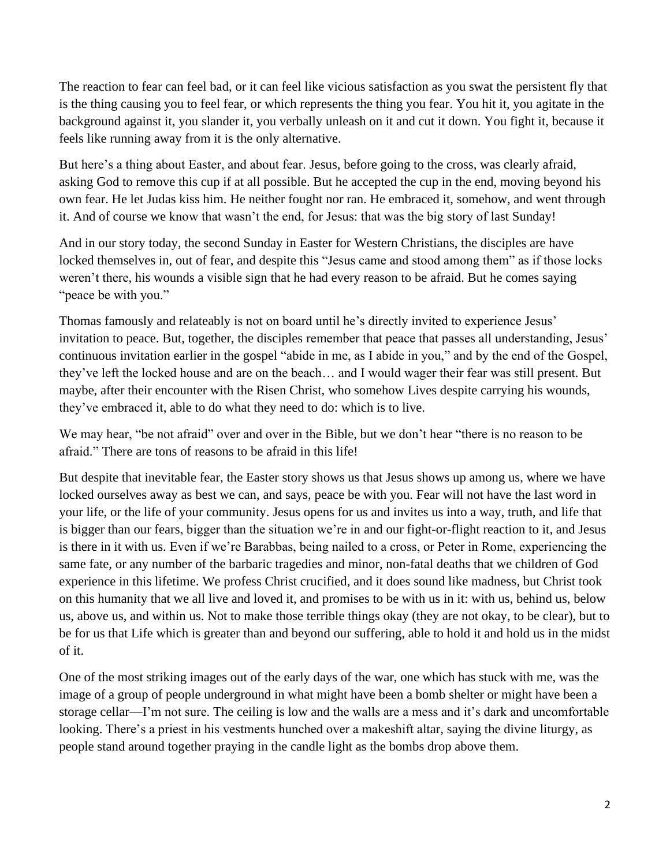The reaction to fear can feel bad, or it can feel like vicious satisfaction as you swat the persistent fly that is the thing causing you to feel fear, or which represents the thing you fear. You hit it, you agitate in the background against it, you slander it, you verbally unleash on it and cut it down. You fight it, because it feels like running away from it is the only alternative.

But here's a thing about Easter, and about fear. Jesus, before going to the cross, was clearly afraid, asking God to remove this cup if at all possible. But he accepted the cup in the end, moving beyond his own fear. He let Judas kiss him. He neither fought nor ran. He embraced it, somehow, and went through it. And of course we know that wasn't the end, for Jesus: that was the big story of last Sunday!

And in our story today, the second Sunday in Easter for Western Christians, the disciples are have locked themselves in, out of fear, and despite this "Jesus came and stood among them" as if those locks weren't there, his wounds a visible sign that he had every reason to be afraid. But he comes saying "peace be with you."

Thomas famously and relateably is not on board until he's directly invited to experience Jesus' invitation to peace. But, together, the disciples remember that peace that passes all understanding, Jesus' continuous invitation earlier in the gospel "abide in me, as I abide in you," and by the end of the Gospel, they've left the locked house and are on the beach… and I would wager their fear was still present. But maybe, after their encounter with the Risen Christ, who somehow Lives despite carrying his wounds, they've embraced it, able to do what they need to do: which is to live.

We may hear, "be not afraid" over and over in the Bible, but we don't hear "there is no reason to be afraid." There are tons of reasons to be afraid in this life!

But despite that inevitable fear, the Easter story shows us that Jesus shows up among us, where we have locked ourselves away as best we can, and says, peace be with you. Fear will not have the last word in your life, or the life of your community. Jesus opens for us and invites us into a way, truth, and life that is bigger than our fears, bigger than the situation we're in and our fight-or-flight reaction to it, and Jesus is there in it with us. Even if we're Barabbas, being nailed to a cross, or Peter in Rome, experiencing the same fate, or any number of the barbaric tragedies and minor, non-fatal deaths that we children of God experience in this lifetime. We profess Christ crucified, and it does sound like madness, but Christ took on this humanity that we all live and loved it, and promises to be with us in it: with us, behind us, below us, above us, and within us. Not to make those terrible things okay (they are not okay, to be clear), but to be for us that Life which is greater than and beyond our suffering, able to hold it and hold us in the midst of it.

One of the most striking images out of the early days of the war, one which has stuck with me, was the image of a group of people underground in what might have been a bomb shelter or might have been a storage cellar—I'm not sure. The ceiling is low and the walls are a mess and it's dark and uncomfortable looking. There's a priest in his vestments hunched over a makeshift altar, saying the divine liturgy, as people stand around together praying in the candle light as the bombs drop above them.